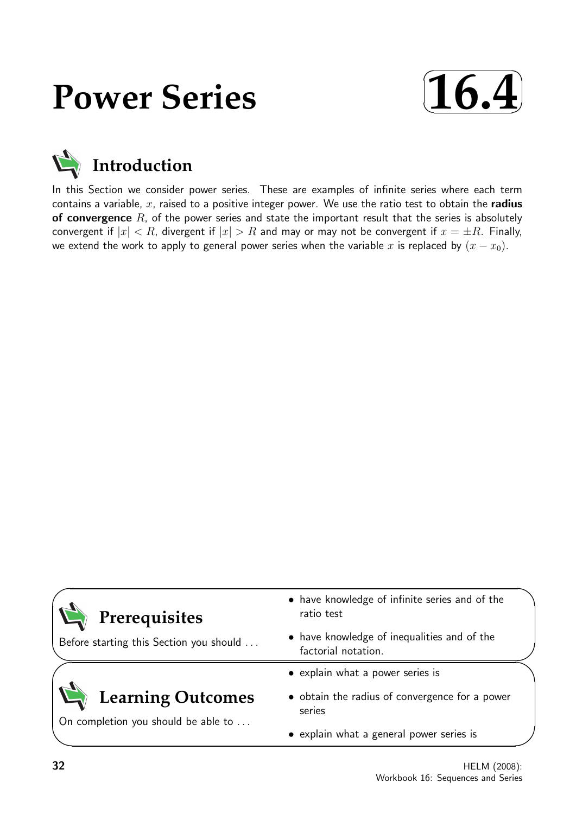# **Power Series**



## **Introduction**

In this Section we consider power series. These are examples of infinite series where each term contains a variable,  $x$ , raised to a positive integer power. We use the ratio test to obtain the radius of convergence  $R$ , of the power series and state the important result that the series is absolutely convergent if  $|x| < R$ , divergent if  $|x| > R$  and may or may not be convergent if  $x = \pm R$ . Finally, we extend the work to apply to general power series when the variable x is replaced by  $(x - x_0)$ .

| • have knowledge of infinite series and of the<br>ratio test       |
|--------------------------------------------------------------------|
| • have knowledge of inequalities and of the<br>factorial notation. |
| • explain what a power series is                                   |
| • obtain the radius of convergence for a power<br>series           |
| • explain what a general power series is                           |
|                                                                    |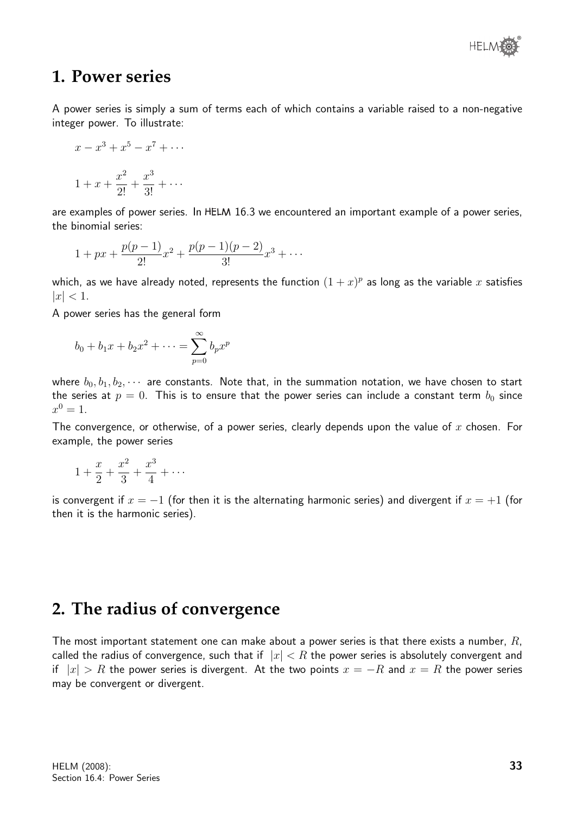

### **1. Power series**

A power series is simply a sum of terms each of which contains a variable raised to a non-negative integer power. To illustrate:

$$
x - x3 + x5 - x7 + \cdots
$$
  

$$
1 + x + \frac{x^{2}}{2!} + \frac{x^{3}}{3!} + \cdots
$$

are examples of power series. In HELM 16.3 we encountered an important example of a power series, the binomial series:

$$
1+px+\frac{p(p-1)}{2!}x^2+\frac{p(p-1)(p-2)}{3!}x^3+\cdots
$$

which, as we have already noted, represents the function  $(1+x)^p$  as long as the variable  $x$  satisfies  $|x| < 1.$ 

A power series has the general form

$$
b_0 + b_1 x + b_2 x^2 + \dots = \sum_{p=0}^{\infty} b_p x^p
$$

where  $b_0, b_1, b_2, \cdots$  are constants. Note that, in the summation notation, we have chosen to start the series at  $p = 0$ . This is to ensure that the power series can include a constant term  $b_0$  since  $x^0 = 1.$ 

The convergence, or otherwise, of a power series, clearly depends upon the value of  $x$  chosen. For example, the power series

$$
1 + \frac{x}{2} + \frac{x^2}{3} + \frac{x^3}{4} + \cdots
$$

is convergent if  $x = -1$  (for then it is the alternating harmonic series) and divergent if  $x = +1$  (for then it is the harmonic series).

## **2. The radius of convergence**

The most important statement one can make about a power series is that there exists a number,  $R$ , called the radius of convergence, such that if  $|x| < R$  the power series is absolutely convergent and if  $|x| > R$  the power series is divergent. At the two points  $x = -R$  and  $x = R$  the power series may be convergent or divergent.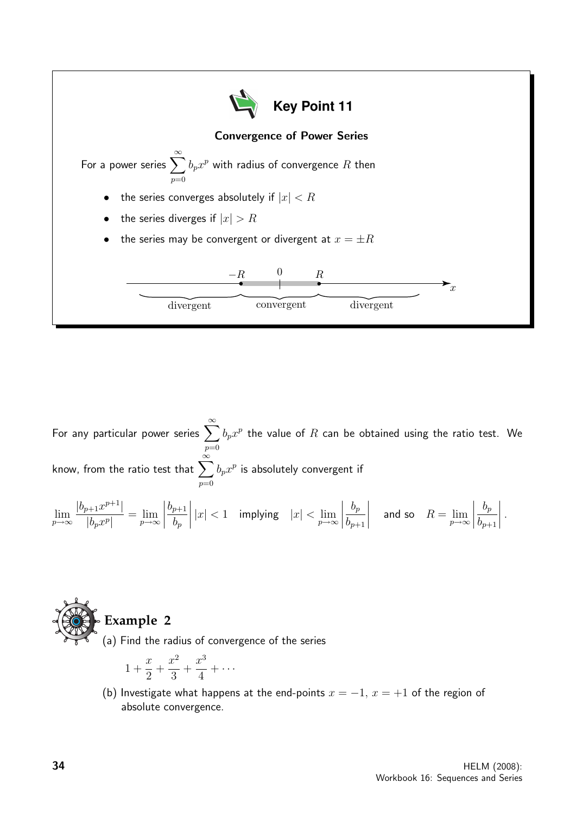

For any particular power series  $\sum_{n=0}^{\infty}$  $p=0$  $b_p x^p$  the value of  $R$  can be obtained using the ratio test. We know, from the ratio test that  $\sum_{n=0}^{\infty}$  $p=0$  $b_px^p$  is absolutely convergent if

$$
\lim_{p \to \infty} \frac{|b_{p+1}x^{p+1}|}{|b_px^p|} = \lim_{p \to \infty} \left| \frac{b_{p+1}}{b_p} \right| |x| < 1 \quad \text{implying} \quad |x| < \lim_{p \to \infty} \left| \frac{b_p}{b_{p+1}} \right| \quad \text{and so} \quad R = \lim_{p \to \infty} \left| \frac{b_p}{b_{p+1}} \right|.
$$



(a) Find the radius of convergence of the series

$$
1 + \frac{x}{2} + \frac{x^2}{3} + \frac{x^3}{4} + \cdots
$$

(b) Investigate what happens at the end-points  $x = -1$ ,  $x = +1$  of the region of absolute convergence.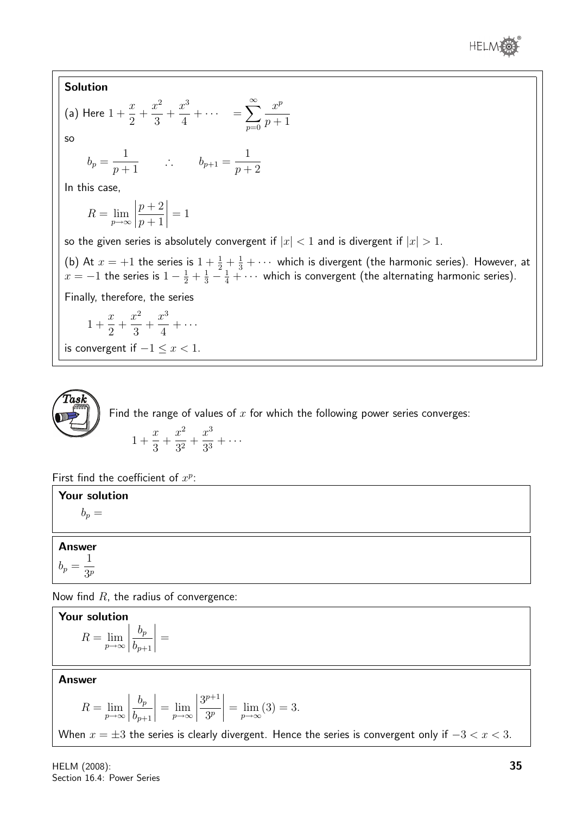

#### Solution

(a) Here 
$$
1 + \frac{x}{2} + \frac{x^2}{3} + \frac{x^3}{4} + \cdots = \sum_{p=0}^{\infty} \frac{x^p}{p+1}
$$
  
so

$$
b_p = \frac{1}{p+1}
$$
  $\therefore$   $b_{p+1} = \frac{1}{p+2}$ 

In this case,

$$
R = \lim_{p \to \infty} \left| \frac{p+2}{p+1} \right| = 1
$$

so the given series is absolutely convergent if  $|x| < 1$  and is divergent if  $|x| > 1$ .

(b) At  $x = +1$  the series is  $1 + \frac{1}{2} + \frac{1}{3} + \cdots$  which is divergent (the harmonic series). However, at  $x=-1$  the series is  $1-\frac{1}{2}+\frac{1}{3}-\frac{1}{4}+\cdots$  which is convergent (the alternating harmonic series).

Finally, therefore, the series

$$
1 + \frac{x}{2} + \frac{x^2}{3} + \frac{x^3}{4} + \cdots
$$

is convergent if  $-1 \leq x < 1$ .

Find the range of values of  $x$  for which the following power series converges: 1 +  $\overline{x}$  $+$  $x^2$  $\frac{x}{3^2}$  +  $x^3$  $\frac{x}{3^3}+\cdots$ 

$$
f_{\rm{max}}(x)=\frac{1}{2}x
$$

3

First find the coefficient of  $x^p$ :

Your solution  $b_n =$ 

Answer  $b_p =$ 1  $3<sup>p</sup>$ 

Task

Now find  $R$ , the radius of convergence:

**Your solution**  

$$
R = \lim_{p \to \infty} \left| \frac{b_p}{b_{p+1}} \right| =
$$

Answer

$$
R = \lim_{p \to \infty} \left| \frac{b_p}{b_{p+1}} \right| = \lim_{p \to \infty} \left| \frac{3^{p+1}}{3^p} \right| = \lim_{p \to \infty} (3) = 3.
$$

When  $x = \pm 3$  the series is clearly divergent. Hence the series is convergent only if  $-3 < x < 3$ .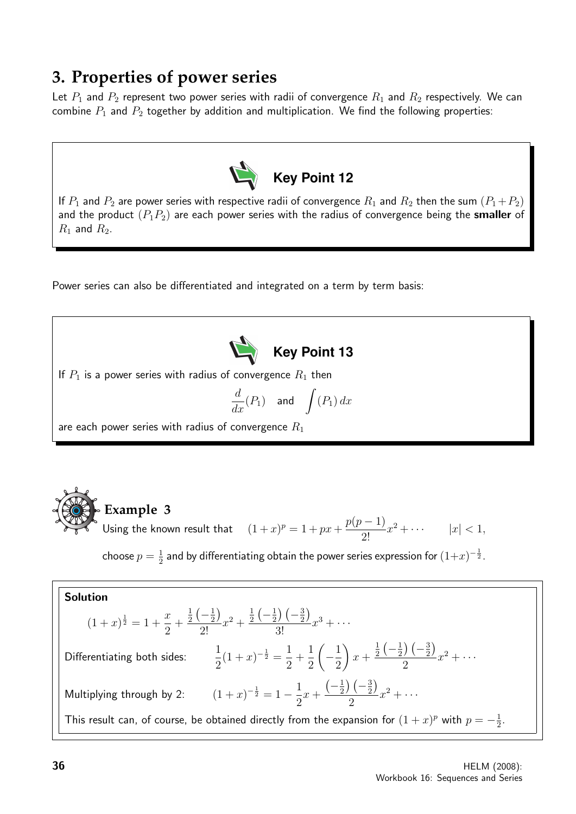## **3. Properties of power series**

Let  $P_1$  and  $P_2$  represent two power series with radii of convergence  $R_1$  and  $R_2$  respectively. We can combine  $P_1$  and  $P_2$  together by addition and multiplication. We find the following properties:



If  $P_1$  and  $P_2$  are power series with respective radii of convergence  $R_1$  and  $R_2$  then the sum  $(P_1+P_2)$ and the product  $(P_1P_2)$  are each power series with the radius of convergence being the smaller of  $R_1$  and  $R_2$ .

Power series can also be differentiated and integrated on a term by term basis:



If  $P_1$  is a power series with radius of convergence  $R_1$  then

$$
\frac{d}{dx}(P_1) \quad \text{and} \quad \int (P_1) \, dx
$$

are each power series with radius of convergence  $R_1$ 



choose  $p=\frac{1}{2}$  $\frac{1}{2}$  and by differentiating obtain the power series expression for  $(1{+}x)^{-\frac{1}{2}}.$ 

**Solution**  
\n
$$
(1+x)^{\frac{1}{2}} = 1 + \frac{x}{2} + \frac{\frac{1}{2}(-\frac{1}{2})}{2!}x^2 + \frac{\frac{1}{2}(-\frac{1}{2})(-\frac{3}{2})}{3!}x^3 + \cdots
$$
\nDifferentiating both sides: 
$$
\frac{1}{2}(1+x)^{-\frac{1}{2}} = \frac{1}{2} + \frac{1}{2}(-\frac{1}{2})x + \frac{\frac{1}{2}(-\frac{1}{2})(-\frac{3}{2})}{2}x^2 + \cdots
$$
\nMultiplying through by 2: 
$$
(1+x)^{-\frac{1}{2}} = 1 - \frac{1}{2}x + \frac{(-\frac{1}{2})(-\frac{3}{2})}{2}x^2 + \cdots
$$
\nThis result can, of course, be obtained directly from the expansion for  $(1+x)^p$  with  $p = -\frac{1}{2}$ .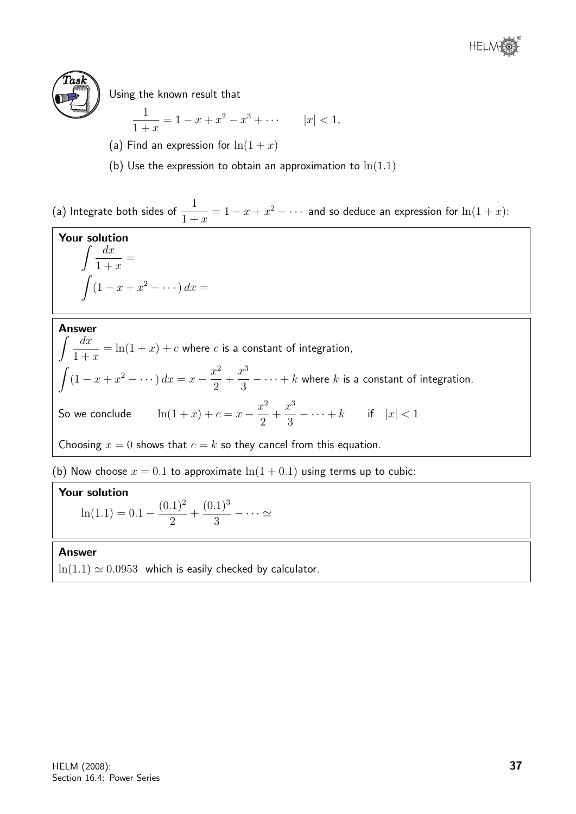



Using the known result that

$$
\frac{1}{1+x} = 1 - x + x^2 - x^3 + \dots \qquad |x| < 1,
$$

- (a) Find an expression for  $\ln(1+x)$
- (b) Use the expression to obtain an approximation to  $ln(1.1)$

(a) Integrate both sides of  $\frac{1}{1}$  $1 + x$  $x = 1 - x + x^2 - \cdots$  and so deduce an expression for  $\ln(1+x)$ :

**Your solution**  
\n
$$
\int \frac{dx}{1+x} =
$$
\n
$$
\int (1-x+x^2 - \cdots) dx =
$$

Answer

 $\int dx$  $1 + x$  $=\ln(1+x)+c$  where  $c$  is a constant of integration,  $\int (1-x+x^2-\cdots) dx = x-\frac{x^2}{2}$ 2  $+$  $x^3$ 3  $- \cdots + k$  where  $k$  is a constant of integration. So we conclude  $\ln(1+x) + c = x - \frac{x^2}{2}$ 2 +  $x^3$ 3  $-\cdots + k$  if  $|x| < 1$ Choosing  $x = 0$  shows that  $c = k$  so they cancel from this equation.

(b) Now choose  $x = 0.1$  to approximate  $\ln(1 + 0.1)$  using terms up to cubic:

#### Your solution

 $ln(1.1) = 0.1 (0.1)^2$ 2  $+$  $(0.1)^3$ 3  $- \cdots \simeq$ 

#### Answer

 $ln(1.1) \simeq 0.0953$  which is easily checked by calculator.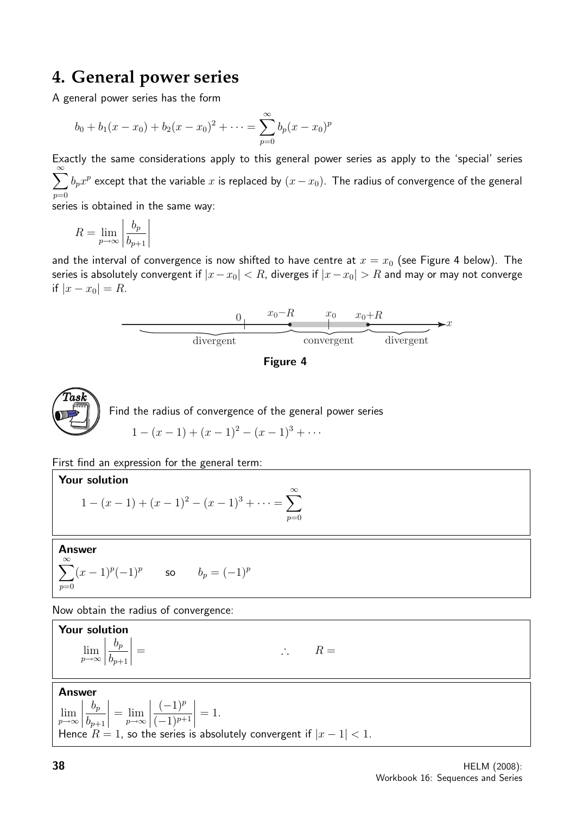## **4. General power series**

A general power series has the form

$$
b_0 + b_1(x - x_0) + b_2(x - x_0)^2 + \dots = \sum_{p=0}^{\infty} b_p(x - x_0)^p
$$

Exactly the same considerations apply to this general power series as apply to the 'special' series  $\sum^{\infty}$  $p=0$  $b_px^p$  except that the variable  $x$  is replaced by  $(x-x_0).$  The radius of convergence of the general

series is obtained in the same way:

$$
R = \lim_{p \to \infty} \left| \frac{b_p}{b_{p+1}} \right|
$$

and the interval of convergence is now shifted to have centre at  $x = x_0$  (see Figure 4 below). The series is absolutely convergent if  $|x-x_0| < R$ , diverges if  $|x-x_0| > R$  and may or may not converge if  $|x - x_0| = R$ .







First find an expression for the general term:

#### Your solution

$$
1 - (x - 1) + (x - 1)^2 - (x - 1)^3 + \dots = \sum_{p=0}^{\infty}
$$

Answer  $\infty$ 

$$
\sum_{p=0} (x-1)^p (-1)^p \qquad \text{so} \qquad b_p = (-1)^p
$$

Now obtain the radius of convergence:

Your solution lim p→∞  $b_p\$  $b_{p+1}$  $\begin{array}{c} \hline \end{array}$  $\vert =$  ∴ R =

Answer

lim p→∞  $b_p$  $b_{p+1}$   $=\lim_{p\to\infty}$  $\begin{array}{c} \begin{array}{c} \begin{array}{c} \end{array} \\ \begin{array}{c} \end{array} \end{array} \end{array}$  $(-1)^p$  $(-1)^{p+1}$   $= 1$ . Hence  $R = 1$ , so the series is absolutely convergent if  $|x - 1| < 1$ .